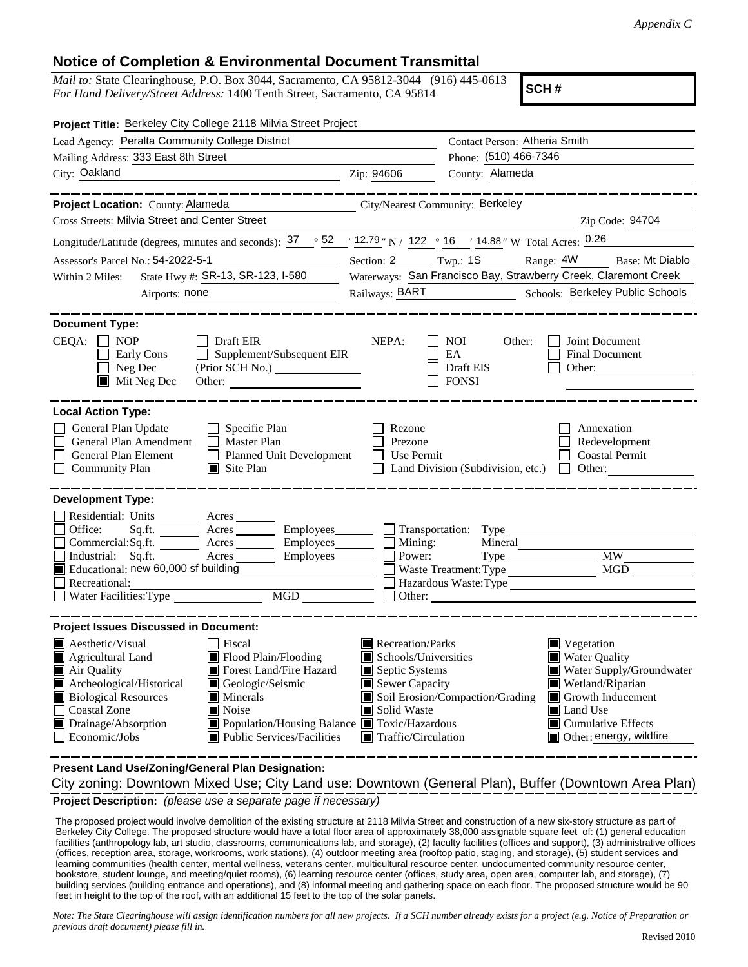## **Notice of Completion & Environmental Document Transmittal**

*Mail to:* State Clearinghouse, P.O. Box 3044, Sacramento, CA 95812-3044 (916) 445-0613 *For Hand Delivery/Street Address:* 1400 Tenth Street, Sacramento, CA 95814

**SCH #**

| Project Title: Berkeley City College 2118 Milvia Street Project                                                                                                                                                                                                                                                                                                                                                  |                                                                                                                                                    |                                                  |                                                                                                                                                                                             |
|------------------------------------------------------------------------------------------------------------------------------------------------------------------------------------------------------------------------------------------------------------------------------------------------------------------------------------------------------------------------------------------------------------------|----------------------------------------------------------------------------------------------------------------------------------------------------|--------------------------------------------------|---------------------------------------------------------------------------------------------------------------------------------------------------------------------------------------------|
| Lead Agency: Peralta Community College District                                                                                                                                                                                                                                                                                                                                                                  |                                                                                                                                                    | Contact Person: Atheria Smith                    |                                                                                                                                                                                             |
| Mailing Address: 333 East 8th Street                                                                                                                                                                                                                                                                                                                                                                             | Phone: (510) 466-7346                                                                                                                              |                                                  |                                                                                                                                                                                             |
| City: Oakland                                                                                                                                                                                                                                                                                                                                                                                                    | Zip: 94606                                                                                                                                         | County: Alameda                                  |                                                                                                                                                                                             |
|                                                                                                                                                                                                                                                                                                                                                                                                                  |                                                                                                                                                    |                                                  |                                                                                                                                                                                             |
| Project Location: County: Alameda<br>City/Nearest Community: Berkeley                                                                                                                                                                                                                                                                                                                                            |                                                                                                                                                    |                                                  |                                                                                                                                                                                             |
| Cross Streets: Milvia Street and Center Street                                                                                                                                                                                                                                                                                                                                                                   |                                                                                                                                                    |                                                  | Zip Code: 94704                                                                                                                                                                             |
| Longitude/Latitude (degrees, minutes and seconds): $37 \degree$ 52 $\frac{12.79}{N}$ N / 122 ° 16 $\degree$ 14.88 " W Total Acres: 0.26                                                                                                                                                                                                                                                                          |                                                                                                                                                    |                                                  |                                                                                                                                                                                             |
| Assessor's Parcel No.: 54-2022-5-1                                                                                                                                                                                                                                                                                                                                                                               |                                                                                                                                                    |                                                  | Section: 2 Twp.: 1S Range: 4W Base: Mt Diablo                                                                                                                                               |
| State Hwy #: SR-13, SR-123, I-580<br>Within 2 Miles:                                                                                                                                                                                                                                                                                                                                                             |                                                                                                                                                    |                                                  | Waterways: San Francisco Bay, Strawberry Creek, Claremont Creek                                                                                                                             |
| Airports: none                                                                                                                                                                                                                                                                                                                                                                                                   | Railways: BART Schools: Berkeley Public Schools                                                                                                    |                                                  |                                                                                                                                                                                             |
| <b>Document Type:</b>                                                                                                                                                                                                                                                                                                                                                                                            |                                                                                                                                                    |                                                  |                                                                                                                                                                                             |
| $CEQA: \Box NP$<br>Draft EIR<br>$\Box$ Supplement/Subsequent EIR<br>Early Cons<br>Neg Dec<br>$\blacksquare$ Mit Neg Dec                                                                                                                                                                                                                                                                                          | NEPA:                                                                                                                                              | NOI<br>Other:<br>EA<br>Draft EIS<br><b>FONSI</b> | Joint Document<br><b>Final Document</b><br>Other: $\qquad \qquad$                                                                                                                           |
|                                                                                                                                                                                                                                                                                                                                                                                                                  |                                                                                                                                                    |                                                  |                                                                                                                                                                                             |
| <b>Local Action Type:</b><br>General Plan Update<br>$\Box$ Specific Plan<br>General Plan Amendment<br>$\Box$ Master Plan<br>General Plan Element<br>Planned Unit Development<br>⊔<br><b>Community Plan</b><br>$\blacksquare$ Site Plan                                                                                                                                                                           | Rezone<br>Prezone<br><b>I</b> Use Permit                                                                                                           | Land Division (Subdivision, etc.)                | Annexation<br>Redevelopment<br><b>Coastal Permit</b><br>$\Box$ Other:                                                                                                                       |
| <b>Development Type:</b><br>Residential: Units Acres<br>Office:<br>$Sq.ft.$ Acres<br>Commercial:Sq.ft. <u>Acres</u> Acres Employees<br>Acres Employees<br>Industrial: Sq.ft.<br>Educational: new $60,000$ sf building<br><u> 1990 - Johann Barbara, martin a</u><br>Recreational:                                                                                                                                | Mining:<br>Power:                                                                                                                                  | Mineral<br>Hazardous Waste:Type<br>$\Box$ Other: | <b>MW</b><br>MGD                                                                                                                                                                            |
| <b>Project Issues Discussed in Document:</b>                                                                                                                                                                                                                                                                                                                                                                     |                                                                                                                                                    |                                                  |                                                                                                                                                                                             |
| <b>A</b> esthetic/Visual<br><b>Fiscal</b><br>Agricultural Land<br>Flood Plain/Flooding<br>Forest Land/Fire Hazard<br>Air Quality<br>Archeological/Historical<br>Geologic/Seismic<br><b>Biological Resources</b><br>$\blacksquare$ Minerals<br>Coastal Zone<br>$\Box$<br>$\blacksquare$ Noise<br>Drainage/Absorption<br>Population/Housing Balance Toxic/Hazardous<br>Public Services/Facilities<br>Economic/Jobs | Recreation/Parks<br>Schools/Universities<br>Septic Systems<br>$\blacksquare$ Sewer Capacity<br>■ Solid Waste<br>$\blacksquare$ Traffic/Circulation | Soil Erosion/Compaction/Grading                  | Vegetation<br>Water Quality<br>Water Supply/Groundwater<br>Wetland/Riparian<br>Growth Inducement<br>$\blacksquare$ Land Use<br>$\blacksquare$ Cumulative Effects<br>Other: energy, wildfire |

**Present Land Use/Zoning/General Plan Designation:**

**Project Description:** *(please use a separate page if necessary)* City zoning: Downtown Mixed Use; City Land use: Downtown (General Plan), Buffer (Downtown Area Plan)

 The proposed project would involve demolition of the existing structure at 2118 Milvia Street and construction of a new six-story structure as part of Berkeley City College. The proposed structure would have a total floor area of approximately 38,000 assignable square feet of: (1) general education facilities (anthropology lab, art studio, classrooms, communications lab, and storage), (2) faculty facilities (offices and support), (3) administrative offices (offices, reception area, storage, workrooms, work stations), (4) outdoor meeting area (rooftop patio, staging, and storage), (5) student services and learning communities (health center, mental wellness, veterans center, multicultural resource center, undocumented community resource center, bookstore, student lounge, and meeting/quiet rooms), (6) learning resource center (offices, study area, open area, computer lab, and storage), (7) building services (building entrance and operations), and (8) informal meeting and gathering space on each floor. The proposed structure would be 90 feet in height to the top of the roof, with an additional 15 feet to the top of the solar panels.

*Note: The State Clearinghouse will assign identification numbers for all new projects. If a SCH number already exists for a project (e.g. Notice of Preparation or previous draft document) please fill in.*